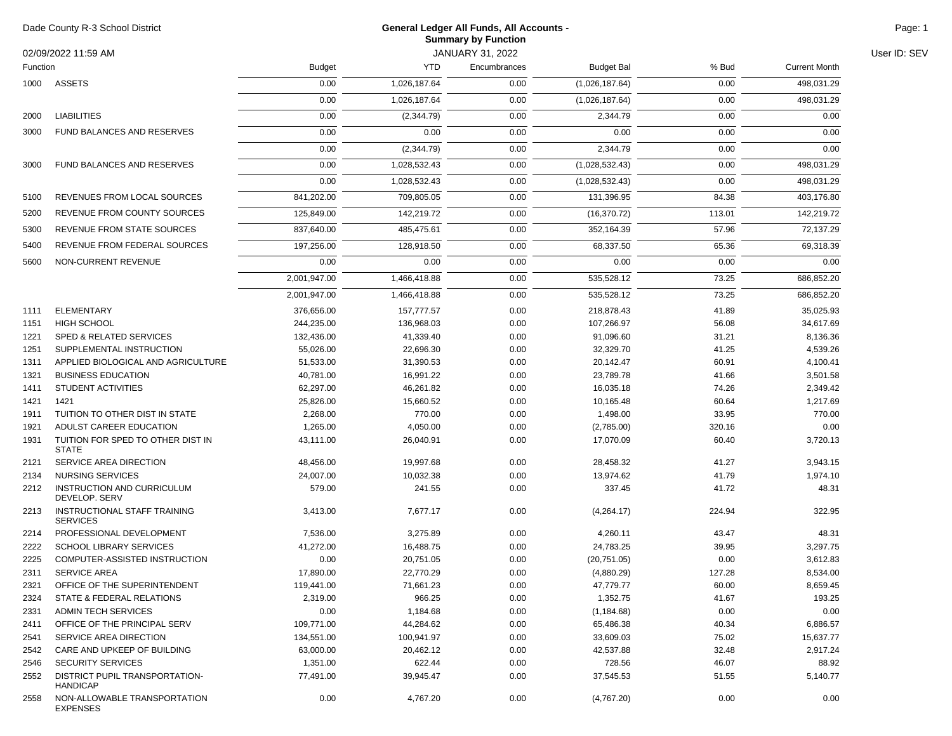| Dade County R-3 School District<br>02/09/2022 11:59 AM<br>Function |                                                   | General Ledger All Funds, All Accounts -<br><b>Summary by Function</b> |              |                                  |                   |        |                      |              |
|--------------------------------------------------------------------|---------------------------------------------------|------------------------------------------------------------------------|--------------|----------------------------------|-------------------|--------|----------------------|--------------|
|                                                                    |                                                   | <b>Budget</b>                                                          | <b>YTD</b>   | JANUARY 31, 2022<br>Encumbrances | <b>Budget Bal</b> | % Bud  | <b>Current Month</b> | User ID: SEV |
|                                                                    |                                                   |                                                                        |              |                                  |                   |        |                      |              |
|                                                                    | 1000 ASSETS                                       | 0.00                                                                   | 1,026,187.64 | 0.00                             | (1,026,187.64)    | 0.00   | 498,031.29           |              |
|                                                                    |                                                   | 0.00                                                                   | 1,026,187.64 | 0.00                             | (1,026,187.64)    | 0.00   | 498,031.29           |              |
| 2000                                                               | <b>LIABILITIES</b>                                | 0.00                                                                   | (2,344.79)   | 0.00                             | 2,344.79          | 0.00   | 0.00                 |              |
| 3000                                                               | FUND BALANCES AND RESERVES                        | 0.00                                                                   | 0.00         | 0.00                             | 0.00              | 0.00   | 0.00                 |              |
|                                                                    |                                                   | 0.00                                                                   | (2,344.79)   | 0.00                             | 2,344.79          | 0.00   | 0.00                 |              |
| 3000                                                               | <b>FUND BALANCES AND RESERVES</b>                 | 0.00                                                                   | 1,028,532.43 | 0.00                             | (1,028,532.43)    | 0.00   | 498,031.29           |              |
|                                                                    |                                                   | 0.00                                                                   | 1,028,532.43 | 0.00                             | (1,028,532.43)    | 0.00   | 498,031.29           |              |
| 5100                                                               | REVENUES FROM LOCAL SOURCES                       | 841,202.00                                                             | 709,805.05   | 0.00                             | 131,396.95        | 84.38  | 403,176.80           |              |
| 5200                                                               | REVENUE FROM COUNTY SOURCES                       | 125,849.00                                                             | 142,219.72   | 0.00                             | (16, 370.72)      | 113.01 | 142,219.72           |              |
| 5300                                                               | REVENUE FROM STATE SOURCES                        | 837,640.00                                                             | 485,475.61   | 0.00                             | 352,164.39        | 57.96  | 72,137.29            |              |
|                                                                    |                                                   |                                                                        |              |                                  |                   |        |                      |              |
| 5400                                                               | REVENUE FROM FEDERAL SOURCES                      | 197,256.00                                                             | 128,918.50   | 0.00                             | 68,337.50         | 65.36  | 69,318.39            |              |
| 5600                                                               | NON-CURRENT REVENUE                               | 0.00                                                                   | 0.00         | 0.00                             | 0.00              | 0.00   | 0.00                 |              |
|                                                                    |                                                   | 2,001,947.00                                                           | 1,466,418.88 | 0.00                             | 535,528.12        | 73.25  | 686,852.20           |              |
|                                                                    |                                                   | 2,001,947.00                                                           | 1,466,418.88 | 0.00                             | 535,528.12        | 73.25  | 686,852.20           |              |
| 1111                                                               | ELEMENTARY                                        | 376,656.00                                                             | 157,777.57   | 0.00                             | 218,878.43        | 41.89  | 35,025.93            |              |
| 1151                                                               | <b>HIGH SCHOOL</b>                                | 244,235.00                                                             | 136,968.03   | 0.00                             | 107,266.97        | 56.08  | 34,617.69            |              |
| 1221                                                               | SPED & RELATED SERVICES                           | 132,436.00                                                             | 41,339.40    | 0.00                             | 91,096.60         | 31.21  | 8,136.36             |              |
| 1251                                                               | SUPPLEMENTAL INSTRUCTION                          | 55,026.00                                                              | 22,696.30    | 0.00                             | 32,329.70         | 41.25  | 4,539.26             |              |
| 1311                                                               | APPLIED BIOLOGICAL AND AGRICULTURE                | 51,533.00                                                              | 31,390.53    | 0.00                             | 20,142.47         | 60.91  | 4,100.41             |              |
| 1321                                                               | <b>BUSINESS EDUCATION</b>                         | 40,781.00                                                              | 16,991.22    | 0.00                             | 23,789.78         | 41.66  | 3,501.58             |              |
| 1411                                                               | STUDENT ACTIVITIES                                | 62,297.00                                                              | 46,261.82    | 0.00                             | 16,035.18         | 74.26  | 2,349.42             |              |
| 1421                                                               | 1421                                              | 25,826.00                                                              | 15,660.52    | 0.00                             | 10,165.48         | 60.64  | 1,217.69             |              |
| 1911                                                               | TUITION TO OTHER DIST IN STATE                    | 2,268.00                                                               | 770.00       | 0.00                             | 1,498.00          | 33.95  | 770.00               |              |
| 1921                                                               | ADULST CAREER EDUCATION                           | 1,265.00                                                               | 4,050.00     | 0.00                             | (2,785.00)        | 320.16 | 0.00                 |              |
| 1931                                                               | TUITION FOR SPED TO OTHER DIST IN<br><b>STATE</b> | 43,111.00                                                              | 26,040.91    | 0.00                             | 17,070.09         | 60.40  | 3,720.13             |              |
| 2121                                                               | SERVICE AREA DIRECTION                            | 48,456.00                                                              | 19,997.68    | 0.00                             | 28,458.32         | 41.27  | 3,943.15             |              |
| 2134                                                               | NURSING SERVICES                                  | 24,007.00                                                              | 10,032.38    | 0.00                             | 13,974.62         | 41.79  | 1,974.10             |              |
| 2212                                                               | INSTRUCTION AND CURRICULUM<br>DEVELOP. SERV       | 579.00                                                                 | 241.55       | 0.00                             | 337.45            | 41.72  | 48.31                |              |
| 2213                                                               | INSTRUCTIONAL STAFF TRAINING<br><b>SERVICES</b>   | 3,413.00                                                               | 7,677.17     | 0.00                             | (4,264.17)        | 224.94 | 322.95               |              |
| 2214                                                               | PROFESSIONAL DEVELOPMENT                          | 7,536.00                                                               | 3,275.89     | 0.00                             | 4,260.11          | 43.47  | 48.31                |              |
| 2222                                                               | <b>SCHOOL LIBRARY SERVICES</b>                    | 41,272.00                                                              | 16,488.75    | 0.00                             | 24,783.25         | 39.95  | 3,297.75             |              |
| 2225                                                               | COMPUTER-ASSISTED INSTRUCTION                     | 0.00                                                                   | 20,751.05    | 0.00                             | (20, 751.05)      | 0.00   | 3,612.83             |              |
| 2311                                                               | <b>SERVICE AREA</b>                               | 17,890.00                                                              | 22,770.29    | 0.00                             | (4,880.29)        | 127.28 | 8,534.00             |              |
| 2321                                                               | OFFICE OF THE SUPERINTENDENT                      | 119,441.00                                                             | 71,661.23    | 0.00                             | 47,779.77         | 60.00  | 8,659.45             |              |
| 2324                                                               | STATE & FEDERAL RELATIONS                         | 2,319.00                                                               | 966.25       | 0.00                             | 1,352.75          | 41.67  | 193.25               |              |
| 2331                                                               | <b>ADMIN TECH SERVICES</b>                        | 0.00                                                                   | 1,184.68     | 0.00                             | (1, 184.68)       | 0.00   | 0.00                 |              |
| 2411                                                               | OFFICE OF THE PRINCIPAL SERV                      | 109,771.00                                                             | 44,284.62    | 0.00                             | 65,486.38         | 40.34  | 6,886.57             |              |
| 2541                                                               | SERVICE AREA DIRECTION                            | 134,551.00                                                             | 100,941.97   | 0.00                             | 33,609.03         | 75.02  | 15,637.77            |              |
| 2542                                                               | CARE AND UPKEEP OF BUILDING                       | 63,000.00                                                              | 20,462.12    | 0.00                             | 42,537.88         | 32.48  | 2,917.24             |              |
| 2546                                                               | <b>SECURITY SERVICES</b>                          | 1,351.00                                                               | 622.44       | 0.00                             | 728.56            | 46.07  | 88.92                |              |
| 2552                                                               | DISTRICT PUPIL TRANSPORTATION-<br><b>HANDICAP</b> | 77,491.00                                                              | 39,945.47    | 0.00                             | 37,545.53         | 51.55  | 5,140.77             |              |
| 2558                                                               | NON-ALLOWABLE TRANSPORTATION<br><b>EXPENSES</b>   | 0.00                                                                   | 4,767.20     | 0.00                             | (4,767.20)        | 0.00   | 0.00                 |              |